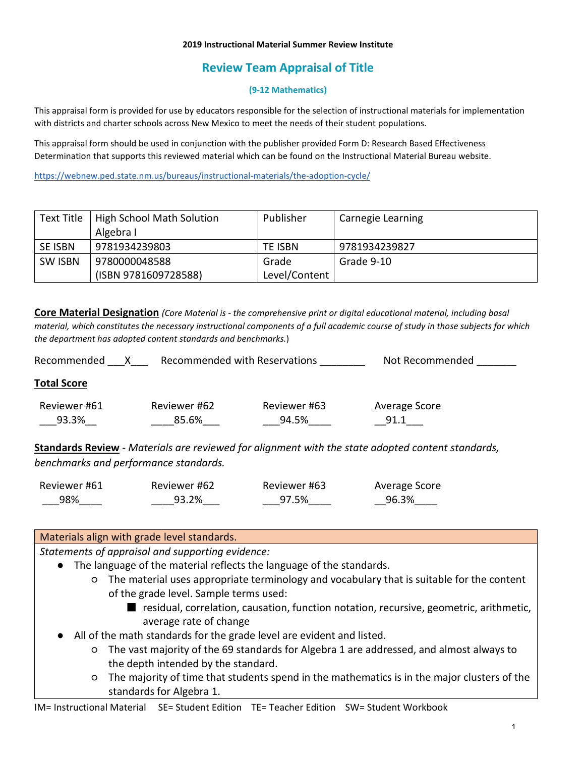#### **2019 Instructional Material Summer Review Institute**

# **Review Team Appraisal of Title**

### **(9-12 Mathematics)**

This appraisal form is provided for use by educators responsible for the selection of instructional materials for implementation with districts and charter schools across New Mexico to meet the needs of their student populations.

This appraisal form should be used in conjunction with the publisher provided Form D: Research Based Effectiveness Determination that supports this reviewed material which can be found on the Instructional Material Bureau website.

<https://webnew.ped.state.nm.us/bureaus/instructional-materials/the-adoption-cycle/>

| Text Title     | High School Math Solution | Publisher     | Carnegie Learning |
|----------------|---------------------------|---------------|-------------------|
|                | Algebra I                 |               |                   |
| <b>SE ISBN</b> | 9781934239803             | TE ISBN       | 9781934239827     |
| <b>SW ISBN</b> | 9780000048588             | Grade         | Grade 9-10        |
|                | (ISBN 9781609728588)      | Level/Content |                   |

**Core Material Designation** *(Core Material is - the comprehensive print or digital educational material, including basal material, which constitutes the necessary instructional components of a full academic course of study in those subjects for which the department has adopted content standards and benchmarks.*)

| Recommended           |                       | Recommended with Reservations | Not Recommended       |  |
|-----------------------|-----------------------|-------------------------------|-----------------------|--|
| <b>Total Score</b>    |                       |                               |                       |  |
| Reviewer #61<br>93.3% | Reviewer #62<br>85.6% | Reviewer #63<br>94.5%         | Average Score<br>91.1 |  |

**Standards Review** - *Materials are reviewed for alignment with the state adopted content standards, benchmarks and performance standards.*

| Reviewer #61 | Reviewer #62 | Reviewer #63 | Average Score |
|--------------|--------------|--------------|---------------|
| 98%          | 93.2%        | 97.5%        | 96.3%         |

### Materials align with grade level standards.

- The language of the material reflects the language of the standards.
	- The material uses appropriate terminology and vocabulary that is suitable for the content of the grade level. Sample terms used:
		- residual, correlation, causation, function notation, recursive, geometric, arithmetic, average rate of change
- All of the math standards for the grade level are evident and listed.
	- The vast majority of the 69 standards for Algebra 1 are addressed, and almost always to the depth intended by the standard.
	- The majority of time that students spend in the mathematics is in the major clusters of the standards for Algebra 1.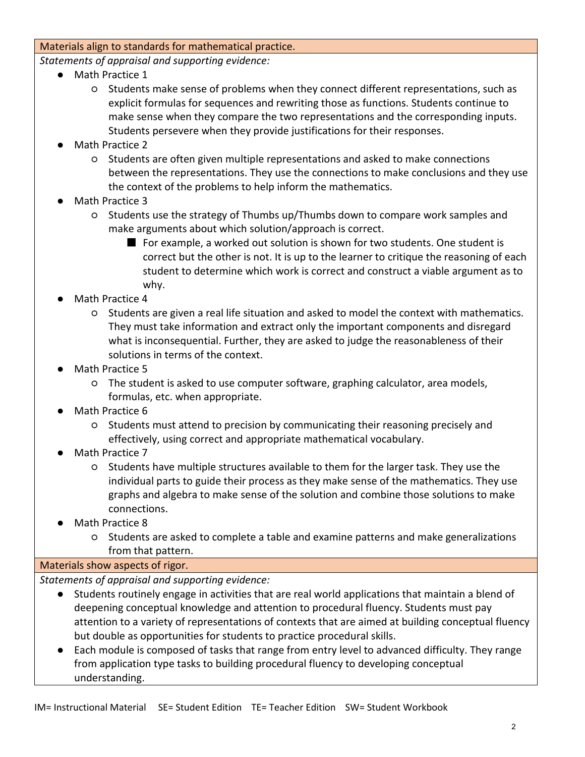### Materials align to standards for mathematical practice.

*Statements of appraisal and supporting evidence:*

- Math Practice 1
	- Students make sense of problems when they connect different representations, such as explicit formulas for sequences and rewriting those as functions. Students continue to make sense when they compare the two representations and the corresponding inputs. Students persevere when they provide justifications for their responses.
- Math Practice 2
	- Students are often given multiple representations and asked to make connections between the representations. They use the connections to make conclusions and they use the context of the problems to help inform the mathematics.
- Math Practice 3
	- Students use the strategy of Thumbs up/Thumbs down to compare work samples and make arguments about which solution/approach is correct.
		- For example, a worked out solution is shown for two students. One student is correct but the other is not. It is up to the learner to critique the reasoning of each student to determine which work is correct and construct a viable argument as to why.
- Math Practice 4
	- Students are given a real life situation and asked to model the context with mathematics. They must take information and extract only the important components and disregard what is inconsequential. Further, they are asked to judge the reasonableness of their solutions in terms of the context.
- Math Practice 5
	- The student is asked to use computer software, graphing calculator, area models, formulas, etc. when appropriate.
- Math Practice 6
	- Students must attend to precision by communicating their reasoning precisely and effectively, using correct and appropriate mathematical vocabulary.
- Math Practice 7
	- Students have multiple structures available to them for the larger task. They use the individual parts to guide their process as they make sense of the mathematics. They use graphs and algebra to make sense of the solution and combine those solutions to make connections.
- Math Practice 8
	- Students are asked to complete a table and examine patterns and make generalizations from that pattern.

## Materials show aspects of rigor.

- Students routinely engage in activities that are real world applications that maintain a blend of deepening conceptual knowledge and attention to procedural fluency. Students must pay attention to a variety of representations of contexts that are aimed at building conceptual fluency but double as opportunities for students to practice procedural skills.
- Each module is composed of tasks that range from entry level to advanced difficulty. They range from application type tasks to building procedural fluency to developing conceptual understanding.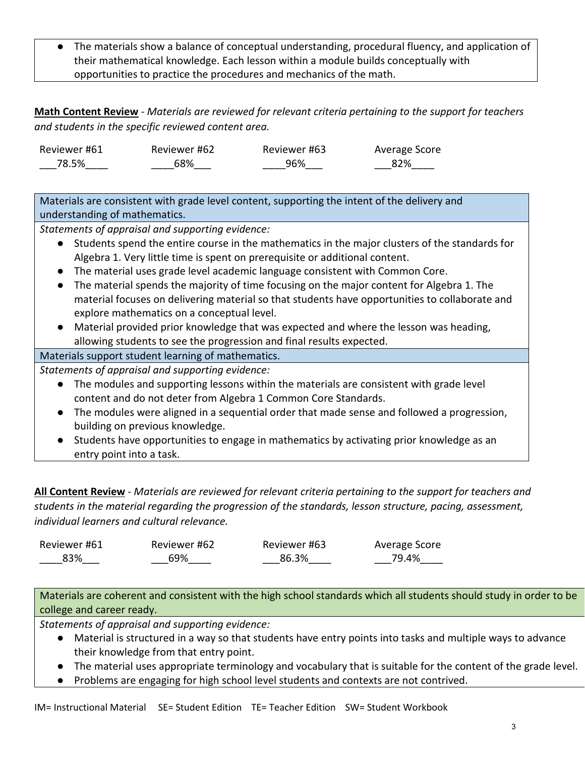● The materials show a balance of conceptual understanding, procedural fluency, and application of their mathematical knowledge. Each lesson within a module builds conceptually with opportunities to practice the procedures and mechanics of the math.

**Math Content Review** - *Materials are reviewed for relevant criteria pertaining to the support for teachers and students in the specific reviewed content area.*

| Reviewer #61 | Reviewer #62 | Reviewer #63 | Average Score |
|--------------|--------------|--------------|---------------|
| 78.5%        | 68%          | 96%          | 82%           |

Materials are consistent with grade level content, supporting the intent of the delivery and understanding of mathematics.

*Statements of appraisal and supporting evidence:*

- Students spend the entire course in the mathematics in the major clusters of the standards for Algebra 1. Very little time is spent on prerequisite or additional content.
- The material uses grade level academic language consistent with Common Core.
- The material spends the majority of time focusing on the major content for Algebra 1. The material focuses on delivering material so that students have opportunities to collaborate and explore mathematics on a conceptual level.
- Material provided prior knowledge that was expected and where the lesson was heading, allowing students to see the progression and final results expected.

# Materials support student learning of mathematics.

*Statements of appraisal and supporting evidence:*

- The modules and supporting lessons within the materials are consistent with grade level content and do not deter from Algebra 1 Common Core Standards.
- The modules were aligned in a sequential order that made sense and followed a progression, building on previous knowledge.
- Students have opportunities to engage in mathematics by activating prior knowledge as an entry point into a task.

**All Content Review** - *Materials are reviewed for relevant criteria pertaining to the support for teachers and students in the material regarding the progression of the standards, lesson structure, pacing, assessment, individual learners and cultural relevance.*

| Reviewer #61 | Reviewer #62 | Reviewer #63 | Average Score |
|--------------|--------------|--------------|---------------|
| 83%          | 69%          | 86.3%        | 79.4%         |

Materials are coherent and consistent with the high school standards which all students should study in order to be college and career ready.

- Material is structured in a way so that students have entry points into tasks and multiple ways to advance their knowledge from that entry point.
- The material uses appropriate terminology and vocabulary that is suitable for the content of the grade level.
- Problems are engaging for high school level students and contexts are not contrived.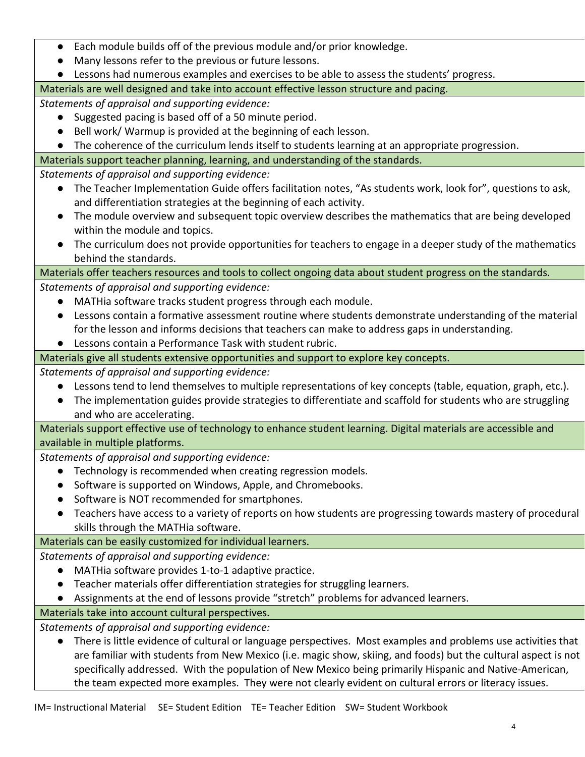- Each module builds off of the previous module and/or prior knowledge.
- Many lessons refer to the previous or future lessons.
- Lessons had numerous examples and exercises to be able to assess the students' progress.

Materials are well designed and take into account effective lesson structure and pacing.

*Statements of appraisal and supporting evidence:*

- Suggested pacing is based off of a 50 minute period.
- Bell work/ Warmup is provided at the beginning of each lesson.
- The coherence of the curriculum lends itself to students learning at an appropriate progression.

Materials support teacher planning, learning, and understanding of the standards.

*Statements of appraisal and supporting evidence:*

- The Teacher Implementation Guide offers facilitation notes, "As students work, look for", questions to ask, and differentiation strategies at the beginning of each activity.
- The module overview and subsequent topic overview describes the mathematics that are being developed within the module and topics.
- The curriculum does not provide opportunities for teachers to engage in a deeper study of the mathematics behind the standards.

# Materials offer teachers resources and tools to collect ongoing data about student progress on the standards.

*Statements of appraisal and supporting evidence:*

- MATHia software tracks student progress through each module.
- Lessons contain a formative assessment routine where students demonstrate understanding of the material for the lesson and informs decisions that teachers can make to address gaps in understanding.
- Lessons contain a Performance Task with student rubric.
- Materials give all students extensive opportunities and support to explore key concepts.

*Statements of appraisal and supporting evidence:*

- Lessons tend to lend themselves to multiple representations of key concepts (table, equation, graph, etc.).
- The implementation guides provide strategies to differentiate and scaffold for students who are struggling and who are accelerating.

Materials support effective use of technology to enhance student learning. Digital materials are accessible and available in multiple platforms.

*Statements of appraisal and supporting evidence:*

- Technology is recommended when creating regression models.
- Software is supported on Windows, Apple, and Chromebooks.
- Software is NOT recommended for smartphones.
- Teachers have access to a variety of reports on how students are progressing towards mastery of procedural skills through the MATHia software.

# Materials can be easily customized for individual learners.

*Statements of appraisal and supporting evidence:*

- MATHia software provides 1-to-1 adaptive practice.
- Teacher materials offer differentiation strategies for struggling learners.
- Assignments at the end of lessons provide "stretch" problems for advanced learners.

# Materials take into account cultural perspectives.

*Statements of appraisal and supporting evidence:*

● There is little evidence of cultural or language perspectives. Most examples and problems use activities that are familiar with students from New Mexico (i.e. magic show, skiing, and foods) but the cultural aspect is not specifically addressed. With the population of New Mexico being primarily Hispanic and Native-American, the team expected more examples. They were not clearly evident on cultural errors or literacy issues.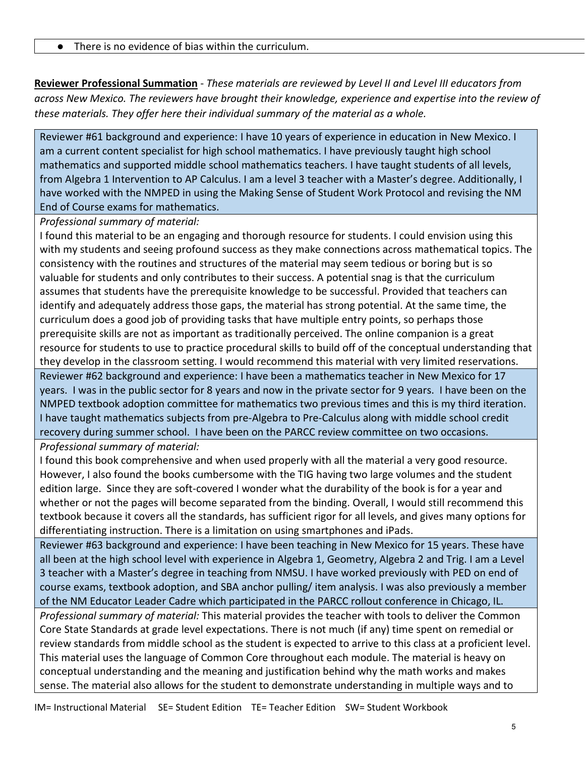● There is no evidence of bias within the curriculum.

**Reviewer Professional Summation** - *These materials are reviewed by Level II and Level III educators from across New Mexico. The reviewers have brought their knowledge, experience and expertise into the review of these materials. They offer here their individual summary of the material as a whole.* 

Reviewer #61 background and experience: I have 10 years of experience in education in New Mexico. I am a current content specialist for high school mathematics. I have previously taught high school mathematics and supported middle school mathematics teachers. I have taught students of all levels, from Algebra 1 Intervention to AP Calculus. I am a level 3 teacher with a Master's degree. Additionally, I have worked with the NMPED in using the Making Sense of Student Work Protocol and revising the NM End of Course exams for mathematics.

*Professional summary of material:*

I found this material to be an engaging and thorough resource for students. I could envision using this with my students and seeing profound success as they make connections across mathematical topics. The consistency with the routines and structures of the material may seem tedious or boring but is so valuable for students and only contributes to their success. A potential snag is that the curriculum assumes that students have the prerequisite knowledge to be successful. Provided that teachers can identify and adequately address those gaps, the material has strong potential. At the same time, the curriculum does a good job of providing tasks that have multiple entry points, so perhaps those prerequisite skills are not as important as traditionally perceived. The online companion is a great resource for students to use to practice procedural skills to build off of the conceptual understanding that they develop in the classroom setting. I would recommend this material with very limited reservations. Reviewer #62 background and experience: I have been a mathematics teacher in New Mexico for 17 years. I was in the public sector for 8 years and now in the private sector for 9 years. I have been on the NMPED textbook adoption committee for mathematics two previous times and this is my third iteration. I have taught mathematics subjects from pre-Algebra to Pre-Calculus along with middle school credit recovery during summer school. I have been on the PARCC review committee on two occasions.

*Professional summary of material:*

I found this book comprehensive and when used properly with all the material a very good resource. However, I also found the books cumbersome with the TIG having two large volumes and the student edition large. Since they are soft-covered I wonder what the durability of the book is for a year and whether or not the pages will become separated from the binding. Overall, I would still recommend this textbook because it covers all the standards, has sufficient rigor for all levels, and gives many options for differentiating instruction. There is a limitation on using smartphones and iPads.

Reviewer #63 background and experience: I have been teaching in New Mexico for 15 years. These have all been at the high school level with experience in Algebra 1, Geometry, Algebra 2 and Trig. I am a Level 3 teacher with a Master's degree in teaching from NMSU. I have worked previously with PED on end of course exams, textbook adoption, and SBA anchor pulling/ item analysis. I was also previously a member of the NM Educator Leader Cadre which participated in the PARCC rollout conference in Chicago, IL.

*Professional summary of material:* This material provides the teacher with tools to deliver the Common Core State Standards at grade level expectations. There is not much (if any) time spent on remedial or review standards from middle school as the student is expected to arrive to this class at a proficient level. This material uses the language of Common Core throughout each module. The material is heavy on conceptual understanding and the meaning and justification behind why the math works and makes sense. The material also allows for the student to demonstrate understanding in multiple ways and to

IM= Instructional Material SE= Student Edition TE= Teacher Edition SW= Student Workbook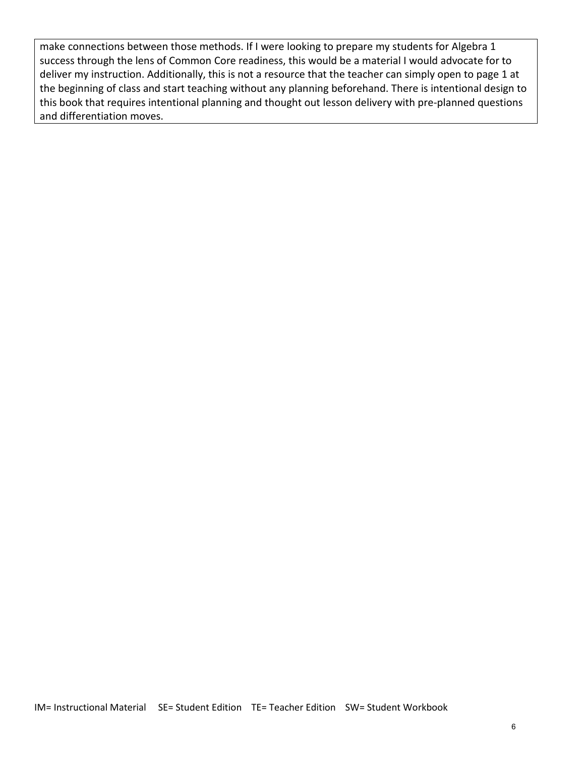make connections between those methods. If I were looking to prepare my students for Algebra 1 success through the lens of Common Core readiness, this would be a material I would advocate for to deliver my instruction. Additionally, this is not a resource that the teacher can simply open to page 1 at the beginning of class and start teaching without any planning beforehand. There is intentional design to this book that requires intentional planning and thought out lesson delivery with pre-planned questions and differentiation moves.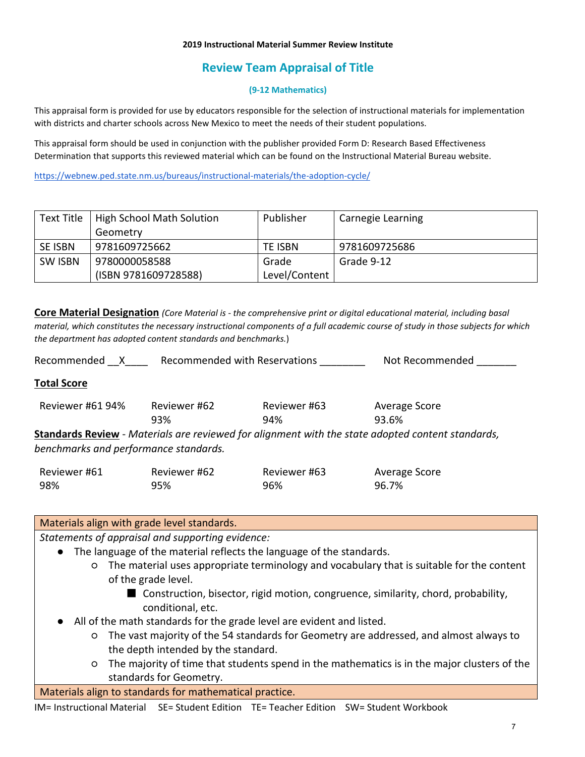#### **2019 Instructional Material Summer Review Institute**

# **Review Team Appraisal of Title**

### **(9-12 Mathematics)**

This appraisal form is provided for use by educators responsible for the selection of instructional materials for implementation with districts and charter schools across New Mexico to meet the needs of their student populations.

This appraisal form should be used in conjunction with the publisher provided Form D: Research Based Effectiveness Determination that supports this reviewed material which can be found on the Instructional Material Bureau website.

<https://webnew.ped.state.nm.us/bureaus/instructional-materials/the-adoption-cycle/>

| Text Title     | High School Math Solution | Publisher     | Carnegie Learning |
|----------------|---------------------------|---------------|-------------------|
|                | Geometry                  |               |                   |
| <b>SE ISBN</b> | 9781609725662             | TE ISBN       | 9781609725686     |
| <b>SW ISBN</b> | 9780000058588             | Grade         | Grade 9-12        |
|                | (ISBN 9781609728588)      | Level/Content |                   |

**Core Material Designation** *(Core Material is - the comprehensive print or digital educational material, including basal material, which constitutes the necessary instructional components of a full academic course of study in those subjects for which the department has adopted content standards and benchmarks.*)

Recommended \_\_X\_\_\_\_ Recommended with Reservations \_\_\_\_\_\_\_\_ Not Recommended \_\_\_\_\_\_

### **Total Score**

| Reviewer #61 94%                                                                                         | Reviewer #62 | Reviewer #63 | Average Score |  |  |  |
|----------------------------------------------------------------------------------------------------------|--------------|--------------|---------------|--|--|--|
|                                                                                                          | 93%          | 94%          | 93.6%         |  |  |  |
| <b>Standards Review</b> - Materials are reviewed for alignment with the state adopted content standards, |              |              |               |  |  |  |

*benchmarks and performance standards.*

| Reviewer #61 | Reviewer #62 | Reviewer #63 | Average Score |
|--------------|--------------|--------------|---------------|
| 98%          | 95%          | 96%          | 96.7%         |

### Materials align with grade level standards.

- The language of the material reflects the language of the standards.
	- The material uses appropriate terminology and vocabulary that is suitable for the content of the grade level.
		- Construction, bisector, rigid motion, congruence, similarity, chord, probability, conditional, etc.
- All of the math standards for the grade level are evident and listed.
	- The vast majority of the 54 standards for Geometry are addressed, and almost always to the depth intended by the standard.
	- The majority of time that students spend in the mathematics is in the major clusters of the standards for Geometry.
- Materials align to standards for mathematical practice.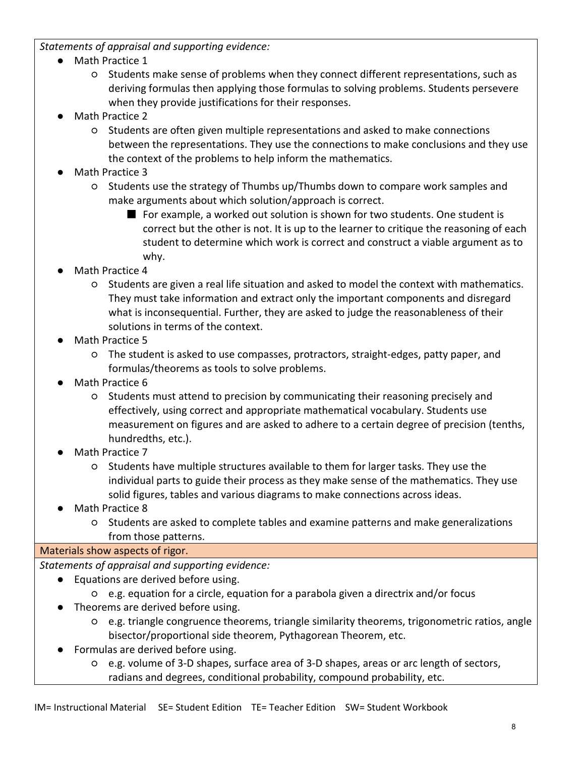## *Statements of appraisal and supporting evidence:*

- Math Practice 1
	- Students make sense of problems when they connect different representations, such as deriving formulas then applying those formulas to solving problems. Students persevere when they provide justifications for their responses.
- Math Practice 2
	- Students are often given multiple representations and asked to make connections between the representations. They use the connections to make conclusions and they use the context of the problems to help inform the mathematics.
- Math Practice 3
	- Students use the strategy of Thumbs up/Thumbs down to compare work samples and make arguments about which solution/approach is correct.
		- For example, a worked out solution is shown for two students. One student is correct but the other is not. It is up to the learner to critique the reasoning of each student to determine which work is correct and construct a viable argument as to why.
- Math Practice 4
	- Students are given a real life situation and asked to model the context with mathematics. They must take information and extract only the important components and disregard what is inconsequential. Further, they are asked to judge the reasonableness of their solutions in terms of the context.
- Math Practice 5
	- The student is asked to use compasses, protractors, straight-edges, patty paper, and formulas/theorems as tools to solve problems.
- Math Practice 6
	- Students must attend to precision by communicating their reasoning precisely and effectively, using correct and appropriate mathematical vocabulary. Students use measurement on figures and are asked to adhere to a certain degree of precision (tenths, hundredths, etc.).
- Math Practice 7
	- Students have multiple structures available to them for larger tasks. They use the individual parts to guide their process as they make sense of the mathematics. They use solid figures, tables and various diagrams to make connections across ideas.
- Math Practice 8
	- Students are asked to complete tables and examine patterns and make generalizations from those patterns.

## Materials show aspects of rigor.

- *Statements of appraisal and supporting evidence:*
	- Equations are derived before using.
		- e.g. equation for a circle, equation for a parabola given a directrix and/or focus
	- Theorems are derived before using.
		- e.g. triangle congruence theorems, triangle similarity theorems, trigonometric ratios, angle bisector/proportional side theorem, Pythagorean Theorem, etc.
	- Formulas are derived before using.
		- e.g. volume of 3-D shapes, surface area of 3-D shapes, areas or arc length of sectors, radians and degrees, conditional probability, compound probability, etc.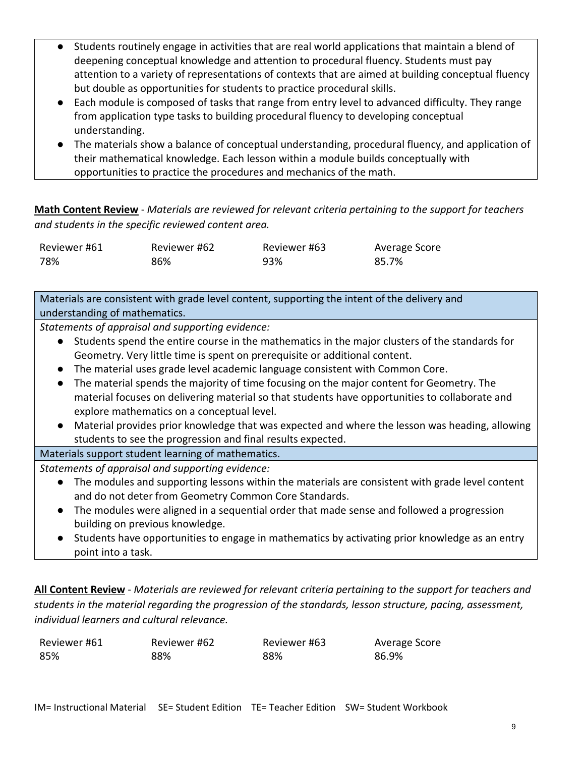- Students routinely engage in activities that are real world applications that maintain a blend of deepening conceptual knowledge and attention to procedural fluency. Students must pay attention to a variety of representations of contexts that are aimed at building conceptual fluency but double as opportunities for students to practice procedural skills.
- Each module is composed of tasks that range from entry level to advanced difficulty. They range from application type tasks to building procedural fluency to developing conceptual understanding.
- The materials show a balance of conceptual understanding, procedural fluency, and application of their mathematical knowledge. Each lesson within a module builds conceptually with opportunities to practice the procedures and mechanics of the math.

**Math Content Review** - *Materials are reviewed for relevant criteria pertaining to the support for teachers and students in the specific reviewed content area.*

| Reviewer #61 | Reviewer #62 | Reviewer #63 | Average Score |
|--------------|--------------|--------------|---------------|
| 78%          | 86%          | 93%          | 85.7%         |

Materials are consistent with grade level content, supporting the intent of the delivery and understanding of mathematics.

*Statements of appraisal and supporting evidence:*

- Students spend the entire course in the mathematics in the major clusters of the standards for Geometry. Very little time is spent on prerequisite or additional content.
- The material uses grade level academic language consistent with Common Core.
- The material spends the majority of time focusing on the major content for Geometry. The material focuses on delivering material so that students have opportunities to collaborate and explore mathematics on a conceptual level.
- Material provides prior knowledge that was expected and where the lesson was heading, allowing students to see the progression and final results expected.
- Materials support student learning of mathematics.

*Statements of appraisal and supporting evidence:*

- The modules and supporting lessons within the materials are consistent with grade level content and do not deter from Geometry Common Core Standards.
- The modules were aligned in a sequential order that made sense and followed a progression building on previous knowledge.
- Students have opportunities to engage in mathematics by activating prior knowledge as an entry point into a task.

**All Content Review** - *Materials are reviewed for relevant criteria pertaining to the support for teachers and students in the material regarding the progression of the standards, lesson structure, pacing, assessment, individual learners and cultural relevance.*

| Reviewer #61 | Reviewer #62 | Reviewer #63 | Average Score |
|--------------|--------------|--------------|---------------|
| 85%          | 88%          | 88%          | 86.9%         |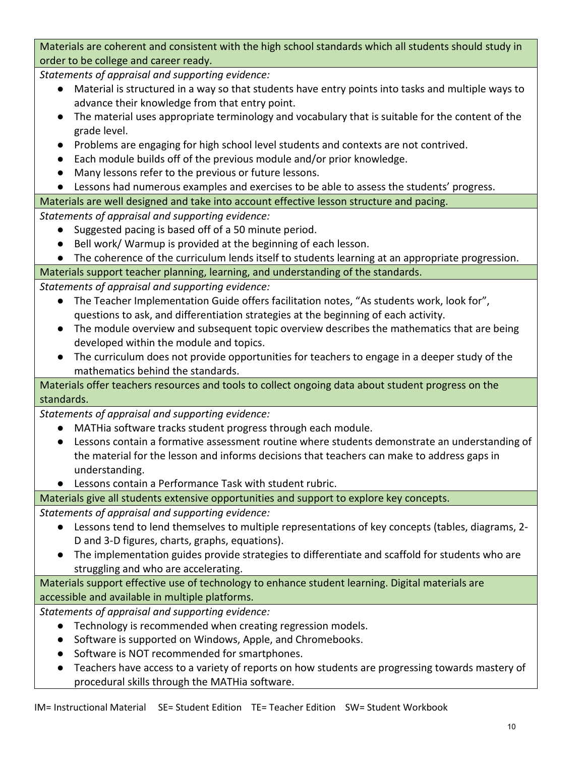Materials are coherent and consistent with the high school standards which all students should study in order to be college and career ready.

*Statements of appraisal and supporting evidence:*

- Material is structured in a way so that students have entry points into tasks and multiple ways to advance their knowledge from that entry point.
- The material uses appropriate terminology and vocabulary that is suitable for the content of the grade level.
- Problems are engaging for high school level students and contexts are not contrived.
- Each module builds off of the previous module and/or prior knowledge.
- Many lessons refer to the previous or future lessons.
- Lessons had numerous examples and exercises to be able to assess the students' progress.

Materials are well designed and take into account effective lesson structure and pacing.

*Statements of appraisal and supporting evidence:*

- Suggested pacing is based off of a 50 minute period.
- Bell work/ Warmup is provided at the beginning of each lesson.

● The coherence of the curriculum lends itself to students learning at an appropriate progression.

Materials support teacher planning, learning, and understanding of the standards.

*Statements of appraisal and supporting evidence:*

- The Teacher Implementation Guide offers facilitation notes, "As students work, look for", questions to ask, and differentiation strategies at the beginning of each activity.
- The module overview and subsequent topic overview describes the mathematics that are being developed within the module and topics.
- The curriculum does not provide opportunities for teachers to engage in a deeper study of the mathematics behind the standards.

Materials offer teachers resources and tools to collect ongoing data about student progress on the standards.

*Statements of appraisal and supporting evidence:*

- MATHia software tracks student progress through each module.
- Lessons contain a formative assessment routine where students demonstrate an understanding of the material for the lesson and informs decisions that teachers can make to address gaps in understanding.
- Lessons contain a Performance Task with student rubric.

# Materials give all students extensive opportunities and support to explore key concepts.

*Statements of appraisal and supporting evidence:*

- Lessons tend to lend themselves to multiple representations of key concepts (tables, diagrams, 2- D and 3-D figures, charts, graphs, equations).
- The implementation guides provide strategies to differentiate and scaffold for students who are struggling and who are accelerating.

Materials support effective use of technology to enhance student learning. Digital materials are accessible and available in multiple platforms.

- Technology is recommended when creating regression models.
- Software is supported on Windows, Apple, and Chromebooks.
- Software is NOT recommended for smartphones.
- Teachers have access to a variety of reports on how students are progressing towards mastery of procedural skills through the MATHia software.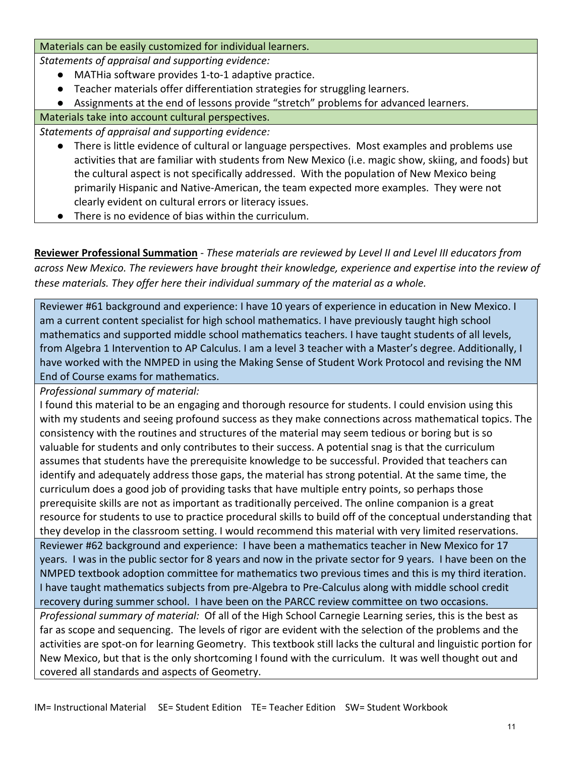## Materials can be easily customized for individual learners.

*Statements of appraisal and supporting evidence:*

- MATHia software provides 1-to-1 adaptive practice.
- Teacher materials offer differentiation strategies for struggling learners.
- Assignments at the end of lessons provide "stretch" problems for advanced learners.

Materials take into account cultural perspectives.

*Statements of appraisal and supporting evidence:*

- There is little evidence of cultural or language perspectives. Most examples and problems use activities that are familiar with students from New Mexico (i.e. magic show, skiing, and foods) but the cultural aspect is not specifically addressed. With the population of New Mexico being primarily Hispanic and Native-American, the team expected more examples. They were not clearly evident on cultural errors or literacy issues.
- There is no evidence of bias within the curriculum.

**Reviewer Professional Summation** - *These materials are reviewed by Level II and Level III educators from across New Mexico. The reviewers have brought their knowledge, experience and expertise into the review of these materials. They offer here their individual summary of the material as a whole.* 

Reviewer #61 background and experience: I have 10 years of experience in education in New Mexico. I am a current content specialist for high school mathematics. I have previously taught high school mathematics and supported middle school mathematics teachers. I have taught students of all levels, from Algebra 1 Intervention to AP Calculus. I am a level 3 teacher with a Master's degree. Additionally, I have worked with the NMPED in using the Making Sense of Student Work Protocol and revising the NM End of Course exams for mathematics.

*Professional summary of material:*

I found this material to be an engaging and thorough resource for students. I could envision using this with my students and seeing profound success as they make connections across mathematical topics. The consistency with the routines and structures of the material may seem tedious or boring but is so valuable for students and only contributes to their success. A potential snag is that the curriculum assumes that students have the prerequisite knowledge to be successful. Provided that teachers can identify and adequately address those gaps, the material has strong potential. At the same time, the curriculum does a good job of providing tasks that have multiple entry points, so perhaps those prerequisite skills are not as important as traditionally perceived. The online companion is a great resource for students to use to practice procedural skills to build off of the conceptual understanding that they develop in the classroom setting. I would recommend this material with very limited reservations.

Reviewer #62 background and experience: I have been a mathematics teacher in New Mexico for 17 years. I was in the public sector for 8 years and now in the private sector for 9 years. I have been on the NMPED textbook adoption committee for mathematics two previous times and this is my third iteration. I have taught mathematics subjects from pre-Algebra to Pre-Calculus along with middle school credit recovery during summer school. I have been on the PARCC review committee on two occasions.

*Professional summary of material:* Of all of the High School Carnegie Learning series, this is the best as far as scope and sequencing. The levels of rigor are evident with the selection of the problems and the activities are spot-on for learning Geometry. This textbook still lacks the cultural and linguistic portion for New Mexico, but that is the only shortcoming I found with the curriculum. It was well thought out and covered all standards and aspects of Geometry.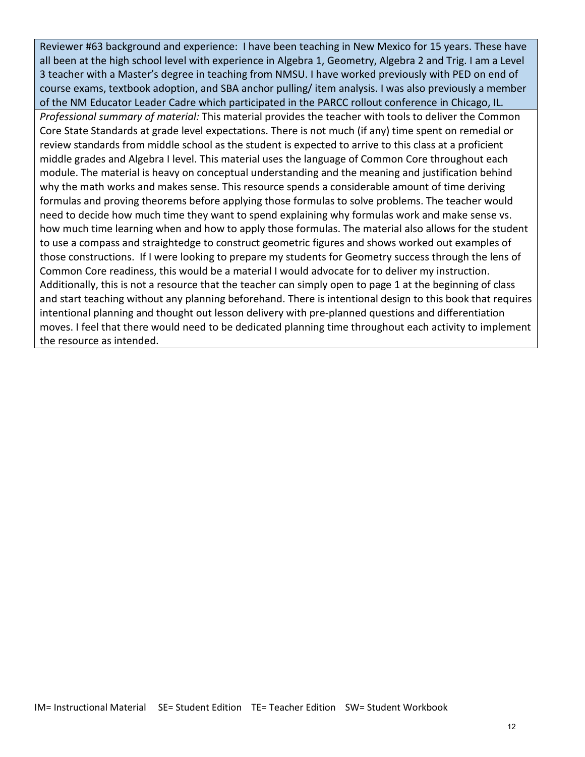Reviewer #63 background and experience: I have been teaching in New Mexico for 15 years. These have all been at the high school level with experience in Algebra 1, Geometry, Algebra 2 and Trig. I am a Level 3 teacher with a Master's degree in teaching from NMSU. I have worked previously with PED on end of course exams, textbook adoption, and SBA anchor pulling/ item analysis. I was also previously a member of the NM Educator Leader Cadre which participated in the PARCC rollout conference in Chicago, IL. *Professional summary of material:* This material provides the teacher with tools to deliver the Common Core State Standards at grade level expectations. There is not much (if any) time spent on remedial or review standards from middle school as the student is expected to arrive to this class at a proficient middle grades and Algebra I level. This material uses the language of Common Core throughout each module. The material is heavy on conceptual understanding and the meaning and justification behind why the math works and makes sense. This resource spends a considerable amount of time deriving formulas and proving theorems before applying those formulas to solve problems. The teacher would need to decide how much time they want to spend explaining why formulas work and make sense vs. how much time learning when and how to apply those formulas. The material also allows for the student to use a compass and straightedge to construct geometric figures and shows worked out examples of those constructions. If I were looking to prepare my students for Geometry success through the lens of Common Core readiness, this would be a material I would advocate for to deliver my instruction. Additionally, this is not a resource that the teacher can simply open to page 1 at the beginning of class and start teaching without any planning beforehand. There is intentional design to this book that requires intentional planning and thought out lesson delivery with pre-planned questions and differentiation moves. I feel that there would need to be dedicated planning time throughout each activity to implement the resource as intended.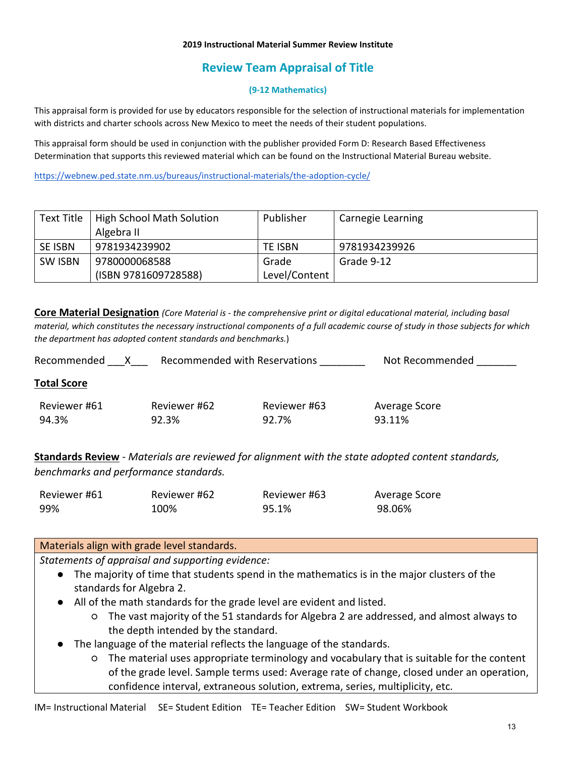#### **2019 Instructional Material Summer Review Institute**

# **Review Team Appraisal of Title**

### **(9-12 Mathematics)**

This appraisal form is provided for use by educators responsible for the selection of instructional materials for implementation with districts and charter schools across New Mexico to meet the needs of their student populations.

This appraisal form should be used in conjunction with the publisher provided Form D: Research Based Effectiveness Determination that supports this reviewed material which can be found on the Instructional Material Bureau website.

<https://webnew.ped.state.nm.us/bureaus/instructional-materials/the-adoption-cycle/>

| Text Title     | High School Math Solution | Publisher     | Carnegie Learning |
|----------------|---------------------------|---------------|-------------------|
|                | Algebra II                |               |                   |
| <b>SE ISBN</b> | 9781934239902             | TE ISBN       | 9781934239926     |
| <b>SW ISBN</b> | 9780000068588             | Grade         | Grade 9-12        |
|                | (ISBN 9781609728588)      | Level/Content |                   |

**Core Material Designation** *(Core Material is - the comprehensive print or digital educational material, including basal material, which constitutes the necessary instructional components of a full academic course of study in those subjects for which the department has adopted content standards and benchmarks.*)

| Recommended        |              | Recommended with Reservations | Not Recommended |  |
|--------------------|--------------|-------------------------------|-----------------|--|
| <b>Total Score</b> |              |                               |                 |  |
| Reviewer #61       | Reviewer #62 | Reviewer #63                  | Average Score   |  |
| 94.3%              | 92.3%        | 92.7%                         | 93.11%          |  |
|                    |              |                               |                 |  |

**Standards Review** - *Materials are reviewed for alignment with the state adopted content standards, benchmarks and performance standards.*

| Reviewer #61 | Reviewer #62 | Reviewer #63 | Average Score |
|--------------|--------------|--------------|---------------|
| 99%          | 100%         | 95.1%        | 98.06%        |

### Materials align with grade level standards.

- The majority of time that students spend in the mathematics is in the major clusters of the standards for Algebra 2.
- All of the math standards for the grade level are evident and listed.
	- The vast majority of the 51 standards for Algebra 2 are addressed, and almost always to the depth intended by the standard.
- The language of the material reflects the language of the standards.
	- The material uses appropriate terminology and vocabulary that is suitable for the content of the grade level. Sample terms used: Average rate of change, closed under an operation, confidence interval, extraneous solution, extrema, series, multiplicity, etc.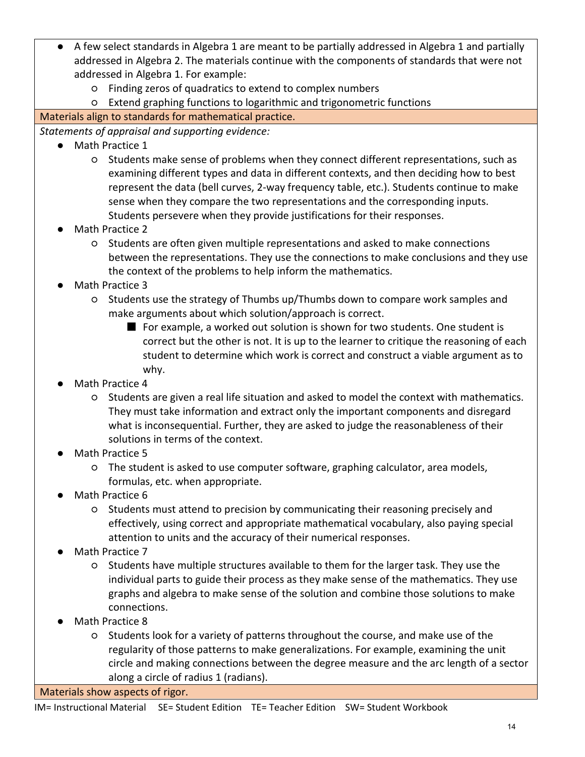- A few select standards in Algebra 1 are meant to be partially addressed in Algebra 1 and partially addressed in Algebra 2. The materials continue with the components of standards that were not addressed in Algebra 1. For example:
	- Finding zeros of quadratics to extend to complex numbers
	- Extend graphing functions to logarithmic and trigonometric functions

# Materials align to standards for mathematical practice.

*Statements of appraisal and supporting evidence:*

- Math Practice 1
	- Students make sense of problems when they connect different representations, such as examining different types and data in different contexts, and then deciding how to best represent the data (bell curves, 2-way frequency table, etc.). Students continue to make sense when they compare the two representations and the corresponding inputs. Students persevere when they provide justifications for their responses.
- Math Practice 2
	- Students are often given multiple representations and asked to make connections between the representations. They use the connections to make conclusions and they use the context of the problems to help inform the mathematics.
- Math Practice 3
	- Students use the strategy of Thumbs up/Thumbs down to compare work samples and make arguments about which solution/approach is correct.
		- For example, a worked out solution is shown for two students. One student is correct but the other is not. It is up to the learner to critique the reasoning of each student to determine which work is correct and construct a viable argument as to why.
- Math Practice 4
	- Students are given a real life situation and asked to model the context with mathematics. They must take information and extract only the important components and disregard what is inconsequential. Further, they are asked to judge the reasonableness of their solutions in terms of the context.
- Math Practice 5
	- The student is asked to use computer software, graphing calculator, area models, formulas, etc. when appropriate.
- Math Practice 6
	- Students must attend to precision by communicating their reasoning precisely and effectively, using correct and appropriate mathematical vocabulary, also paying special attention to units and the accuracy of their numerical responses.
- Math Practice 7
	- Students have multiple structures available to them for the larger task. They use the individual parts to guide their process as they make sense of the mathematics. They use graphs and algebra to make sense of the solution and combine those solutions to make connections.
- Math Practice 8
	- Students look for a variety of patterns throughout the course, and make use of the regularity of those patterns to make generalizations. For example, examining the unit circle and making connections between the degree measure and the arc length of a sector along a circle of radius 1 (radians).

Materials show aspects of rigor.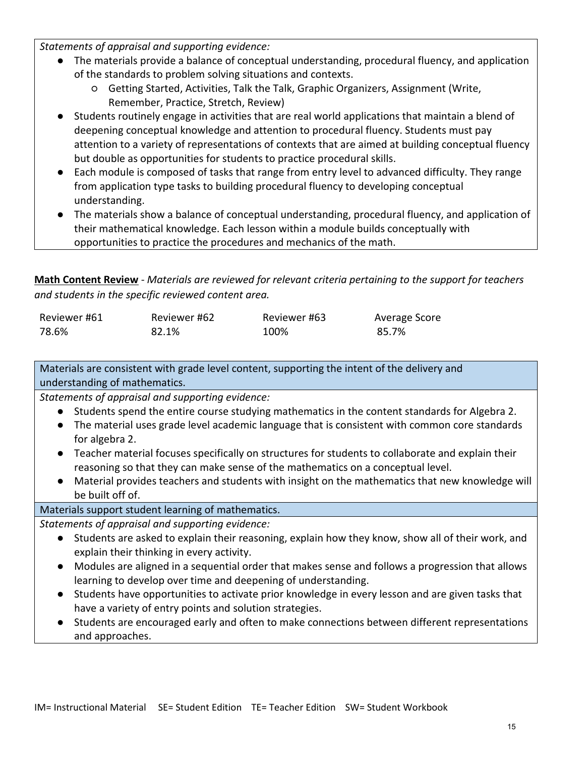*Statements of appraisal and supporting evidence:*

- The materials provide a balance of conceptual understanding, procedural fluency, and application of the standards to problem solving situations and contexts.
	- Getting Started, Activities, Talk the Talk, Graphic Organizers, Assignment (Write, Remember, Practice, Stretch, Review)
- Students routinely engage in activities that are real world applications that maintain a blend of deepening conceptual knowledge and attention to procedural fluency. Students must pay attention to a variety of representations of contexts that are aimed at building conceptual fluency but double as opportunities for students to practice procedural skills.
- Each module is composed of tasks that range from entry level to advanced difficulty. They range from application type tasks to building procedural fluency to developing conceptual understanding.
- The materials show a balance of conceptual understanding, procedural fluency, and application of their mathematical knowledge. Each lesson within a module builds conceptually with opportunities to practice the procedures and mechanics of the math.

**Math Content Review** - *Materials are reviewed for relevant criteria pertaining to the support for teachers and students in the specific reviewed content area.*

| Reviewer #61 | Reviewer #62 | Reviewer #63 | Average Score |
|--------------|--------------|--------------|---------------|
| 78.6%        | 82.1%        | 100%         | 85.7%         |

Materials are consistent with grade level content, supporting the intent of the delivery and understanding of mathematics.

*Statements of appraisal and supporting evidence:*

- Students spend the entire course studying mathematics in the content standards for Algebra 2.
- The material uses grade level academic language that is consistent with common core standards for algebra 2.
- Teacher material focuses specifically on structures for students to collaborate and explain their reasoning so that they can make sense of the mathematics on a conceptual level.
- Material provides teachers and students with insight on the mathematics that new knowledge will be built off of.

# Materials support student learning of mathematics.

- Students are asked to explain their reasoning, explain how they know, show all of their work, and explain their thinking in every activity.
- Modules are aligned in a sequential order that makes sense and follows a progression that allows learning to develop over time and deepening of understanding.
- Students have opportunities to activate prior knowledge in every lesson and are given tasks that have a variety of entry points and solution strategies.
- Students are encouraged early and often to make connections between different representations and approaches.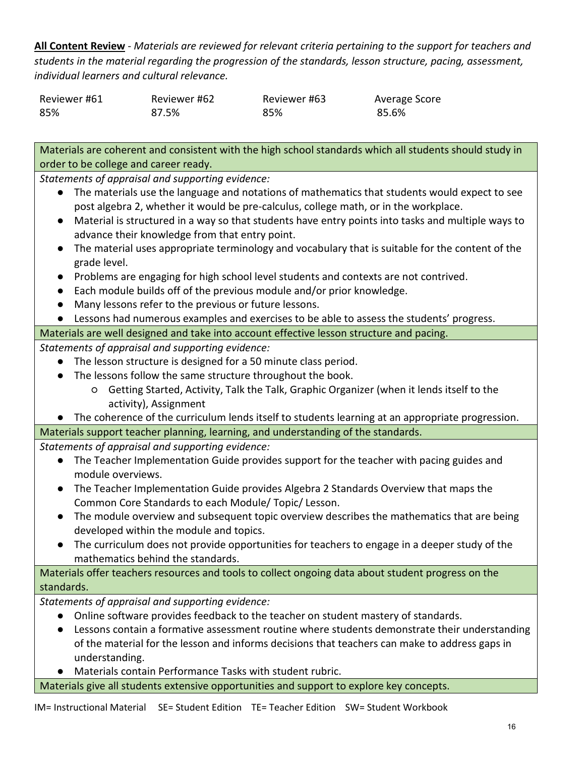**All Content Review** - *Materials are reviewed for relevant criteria pertaining to the support for teachers and students in the material regarding the progression of the standards, lesson structure, pacing, assessment, individual learners and cultural relevance.*

| Reviewer #61 | Reviewer #62 | Reviewer #63 | Average Score |
|--------------|--------------|--------------|---------------|
| 85%          | 87.5%        | 85%          | 85.6%         |

Materials are coherent and consistent with the high school standards which all students should study in order to be college and career ready.

*Statements of appraisal and supporting evidence:*

- The materials use the language and notations of mathematics that students would expect to see post algebra 2, whether it would be pre-calculus, college math, or in the workplace.
- Material is structured in a way so that students have entry points into tasks and multiple ways to advance their knowledge from that entry point.
- The material uses appropriate terminology and vocabulary that is suitable for the content of the grade level.
- Problems are engaging for high school level students and contexts are not contrived.
- Each module builds off of the previous module and/or prior knowledge.
- Many lessons refer to the previous or future lessons.
- Lessons had numerous examples and exercises to be able to assess the students' progress.

Materials are well designed and take into account effective lesson structure and pacing.

*Statements of appraisal and supporting evidence:*

- The lesson structure is designed for a 50 minute class period.
- The lessons follow the same structure throughout the book.
	- Getting Started, Activity, Talk the Talk, Graphic Organizer (when it lends itself to the activity), Assignment
- The coherence of the curriculum lends itself to students learning at an appropriate progression. Materials support teacher planning, learning, and understanding of the standards.

*Statements of appraisal and supporting evidence:*

- The Teacher Implementation Guide provides support for the teacher with pacing guides and module overviews.
- The Teacher Implementation Guide provides Algebra 2 Standards Overview that maps the Common Core Standards to each Module/ Topic/ Lesson.
- The module overview and subsequent topic overview describes the mathematics that are being developed within the module and topics.
- The curriculum does not provide opportunities for teachers to engage in a deeper study of the mathematics behind the standards.

Materials offer teachers resources and tools to collect ongoing data about student progress on the standards.

*Statements of appraisal and supporting evidence:*

- Online software provides feedback to the teacher on student mastery of standards.
- Lessons contain a formative assessment routine where students demonstrate their understanding of the material for the lesson and informs decisions that teachers can make to address gaps in understanding.
- Materials contain Performance Tasks with student rubric.

Materials give all students extensive opportunities and support to explore key concepts.

IM= Instructional Material SE= Student Edition TE= Teacher Edition SW= Student Workbook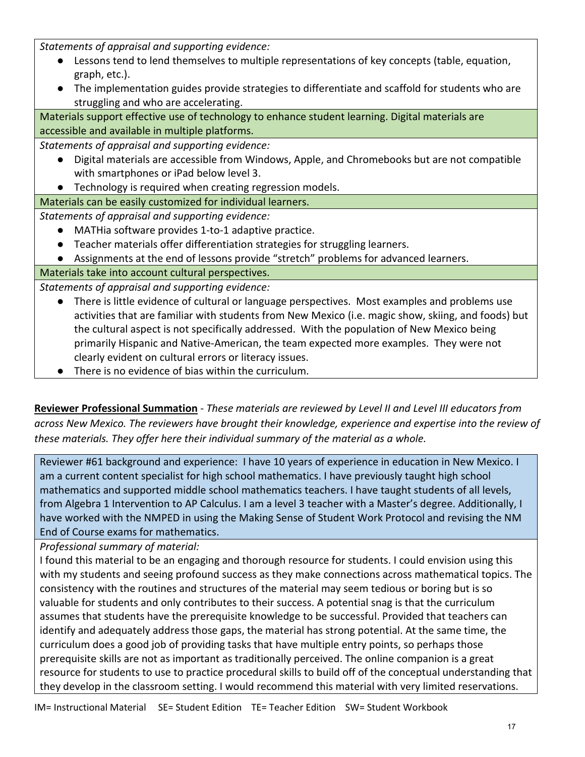*Statements of appraisal and supporting evidence:*

- Lessons tend to lend themselves to multiple representations of key concepts (table, equation, graph, etc.).
- The implementation guides provide strategies to differentiate and scaffold for students who are struggling and who are accelerating.

Materials support effective use of technology to enhance student learning. Digital materials are accessible and available in multiple platforms.

*Statements of appraisal and supporting evidence:*

- Digital materials are accessible from Windows, Apple, and Chromebooks but are not compatible with smartphones or iPad below level 3.
- Technology is required when creating regression models.
- Materials can be easily customized for individual learners.

*Statements of appraisal and supporting evidence:*

- MATHia software provides 1-to-1 adaptive practice.
- Teacher materials offer differentiation strategies for struggling learners.
- Assignments at the end of lessons provide "stretch" problems for advanced learners.

## Materials take into account cultural perspectives.

*Statements of appraisal and supporting evidence:*

- There is little evidence of cultural or language perspectives. Most examples and problems use activities that are familiar with students from New Mexico (i.e. magic show, skiing, and foods) but the cultural aspect is not specifically addressed. With the population of New Mexico being primarily Hispanic and Native-American, the team expected more examples. They were not clearly evident on cultural errors or literacy issues.
- There is no evidence of bias within the curriculum.

**Reviewer Professional Summation** - *These materials are reviewed by Level II and Level III educators from across New Mexico. The reviewers have brought their knowledge, experience and expertise into the review of these materials. They offer here their individual summary of the material as a whole.* 

Reviewer #61 background and experience: I have 10 years of experience in education in New Mexico. I am a current content specialist for high school mathematics. I have previously taught high school mathematics and supported middle school mathematics teachers. I have taught students of all levels, from Algebra 1 Intervention to AP Calculus. I am a level 3 teacher with a Master's degree. Additionally, I have worked with the NMPED in using the Making Sense of Student Work Protocol and revising the NM End of Course exams for mathematics.

*Professional summary of material:*

I found this material to be an engaging and thorough resource for students. I could envision using this with my students and seeing profound success as they make connections across mathematical topics. The consistency with the routines and structures of the material may seem tedious or boring but is so valuable for students and only contributes to their success. A potential snag is that the curriculum assumes that students have the prerequisite knowledge to be successful. Provided that teachers can identify and adequately address those gaps, the material has strong potential. At the same time, the curriculum does a good job of providing tasks that have multiple entry points, so perhaps those prerequisite skills are not as important as traditionally perceived. The online companion is a great resource for students to use to practice procedural skills to build off of the conceptual understanding that they develop in the classroom setting. I would recommend this material with very limited reservations.

IM= Instructional Material SE= Student Edition TE= Teacher Edition SW= Student Workbook